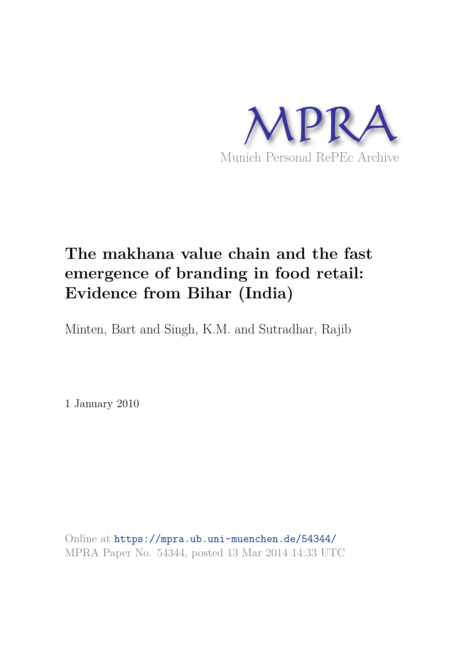

# **The makhana value chain and the fast emergence of branding in food retail: Evidence from Bihar (India)**

Minten, Bart and Singh, K.M. and Sutradhar, Rajib

1 January 2010

Online at https://mpra.ub.uni-muenchen.de/54344/ MPRA Paper No. 54344, posted 13 Mar 2014 14:33 UTC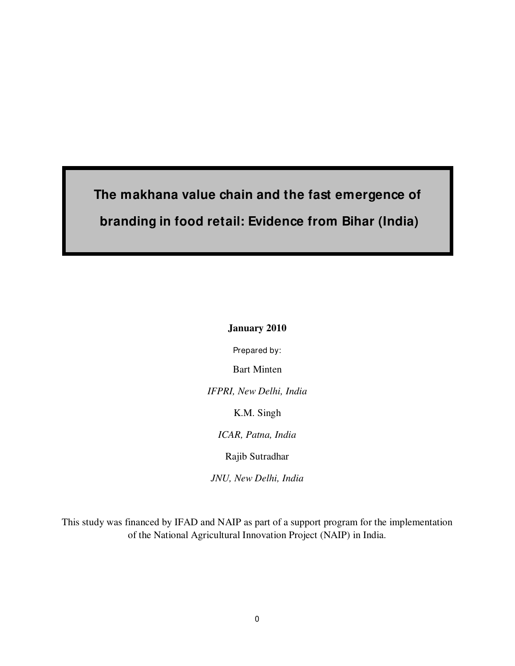**The makhana value chain and the fast emergence of branding in food retail: Evidence from Bihar (India)** 

# **January 2010**

Prepared by:

Bart Minten

*IFPRI, New Delhi, India* 

K.M. Singh

*ICAR, Patna, India* 

Rajib Sutradhar

*JNU, New Delhi, India* 

This study was financed by IFAD and NAIP as part of a support program for the implementation of the National Agricultural Innovation Project (NAIP) in India.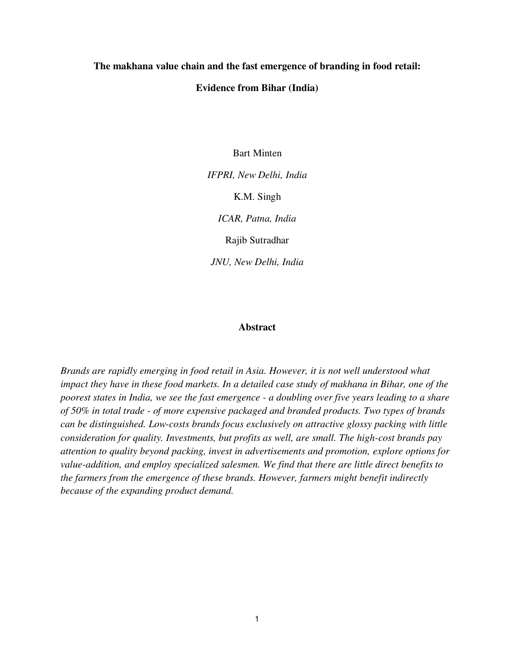#### **The makhana value chain and the fast emergence of branding in food retail:**

# **Evidence from Bihar (India)**

Bart Minten

*IFPRI, New Delhi, India*  K.M. Singh *ICAR, Patna, India*  Rajib Sutradhar *JNU, New Delhi, India* 

# **Abstract**

*Brands are rapidly emerging in food retail in Asia. However, it is not well understood what impact they have in these food markets. In a detailed case study of makhana in Bihar, one of the poorest states in India, we see the fast emergence - a doubling over five years leading to a share of 50% in total trade - of more expensive packaged and branded products. Two types of brands can be distinguished. Low-costs brands focus exclusively on attractive glossy packing with little consideration for quality. Investments, but profits as well, are small. The high-cost brands pay attention to quality beyond packing, invest in advertisements and promotion, explore options for value-addition, and employ specialized salesmen. We find that there are little direct benefits to the farmers from the emergence of these brands. However, farmers might benefit indirectly because of the expanding product demand.*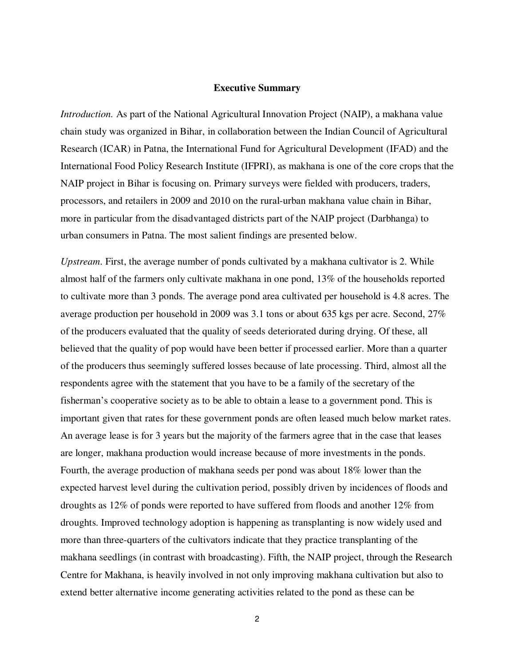#### **Executive Summary**

*Introduction.* As part of the National Agricultural Innovation Project (NAIP), a makhana value chain study was organized in Bihar, in collaboration between the Indian Council of Agricultural Research (ICAR) in Patna, the International Fund for Agricultural Development (IFAD) and the International Food Policy Research Institute (IFPRI), as makhana is one of the core crops that the NAIP project in Bihar is focusing on. Primary surveys were fielded with producers, traders, processors, and retailers in 2009 and 2010 on the rural-urban makhana value chain in Bihar, more in particular from the disadvantaged districts part of the NAIP project (Darbhanga) to urban consumers in Patna. The most salient findings are presented below.

*Upstream*. First, the average number of ponds cultivated by a makhana cultivator is 2. While almost half of the farmers only cultivate makhana in one pond, 13% of the households reported to cultivate more than 3 ponds. The average pond area cultivated per household is 4.8 acres. The average production per household in 2009 was 3.1 tons or about 635 kgs per acre. Second, 27% of the producers evaluated that the quality of seeds deteriorated during drying. Of these, all believed that the quality of pop would have been better if processed earlier. More than a quarter of the producers thus seemingly suffered losses because of late processing. Third, almost all the respondents agree with the statement that you have to be a family of the secretary of the fisherman's cooperative society as to be able to obtain a lease to a government pond. This is important given that rates for these government ponds are often leased much below market rates. An average lease is for 3 years but the majority of the farmers agree that in the case that leases are longer, makhana production would increase because of more investments in the ponds. Fourth, the average production of makhana seeds per pond was about 18% lower than the expected harvest level during the cultivation period, possibly driven by incidences of floods and droughts as 12% of ponds were reported to have suffered from floods and another 12% from droughts. Improved technology adoption is happening as transplanting is now widely used and more than three-quarters of the cultivators indicate that they practice transplanting of the makhana seedlings (in contrast with broadcasting). Fifth, the NAIP project, through the Research Centre for Makhana, is heavily involved in not only improving makhana cultivation but also to extend better alternative income generating activities related to the pond as these can be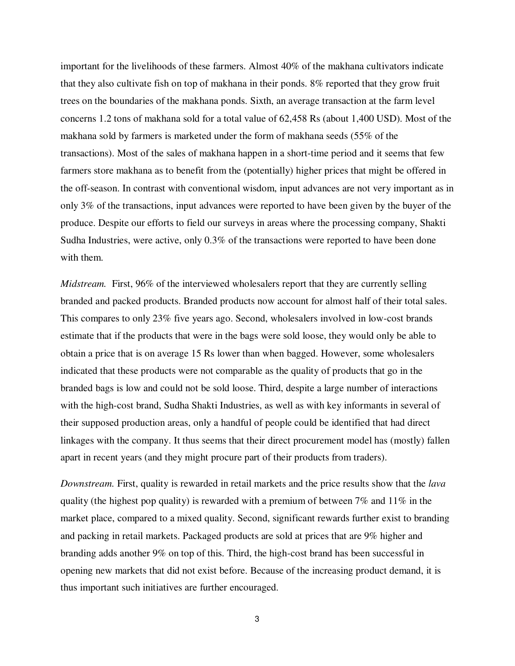important for the livelihoods of these farmers. Almost 40% of the makhana cultivators indicate that they also cultivate fish on top of makhana in their ponds. 8% reported that they grow fruit trees on the boundaries of the makhana ponds. Sixth, an average transaction at the farm level concerns 1.2 tons of makhana sold for a total value of 62,458 Rs (about 1,400 USD). Most of the makhana sold by farmers is marketed under the form of makhana seeds (55% of the transactions). Most of the sales of makhana happen in a short-time period and it seems that few farmers store makhana as to benefit from the (potentially) higher prices that might be offered in the off-season. In contrast with conventional wisdom, input advances are not very important as in only 3% of the transactions, input advances were reported to have been given by the buyer of the produce. Despite our efforts to field our surveys in areas where the processing company, Shakti Sudha Industries, were active, only 0.3% of the transactions were reported to have been done with them.

*Midstream.* First, 96% of the interviewed wholesalers report that they are currently selling branded and packed products. Branded products now account for almost half of their total sales. This compares to only 23% five years ago. Second, wholesalers involved in low-cost brands estimate that if the products that were in the bags were sold loose, they would only be able to obtain a price that is on average 15 Rs lower than when bagged. However, some wholesalers indicated that these products were not comparable as the quality of products that go in the branded bags is low and could not be sold loose. Third, despite a large number of interactions with the high-cost brand, Sudha Shakti Industries, as well as with key informants in several of their supposed production areas, only a handful of people could be identified that had direct linkages with the company. It thus seems that their direct procurement model has (mostly) fallen apart in recent years (and they might procure part of their products from traders).

*Downstream.* First, quality is rewarded in retail markets and the price results show that the *lava* quality (the highest pop quality) is rewarded with a premium of between 7% and 11% in the market place, compared to a mixed quality. Second, significant rewards further exist to branding and packing in retail markets. Packaged products are sold at prices that are 9% higher and branding adds another 9% on top of this. Third, the high-cost brand has been successful in opening new markets that did not exist before. Because of the increasing product demand, it is thus important such initiatives are further encouraged.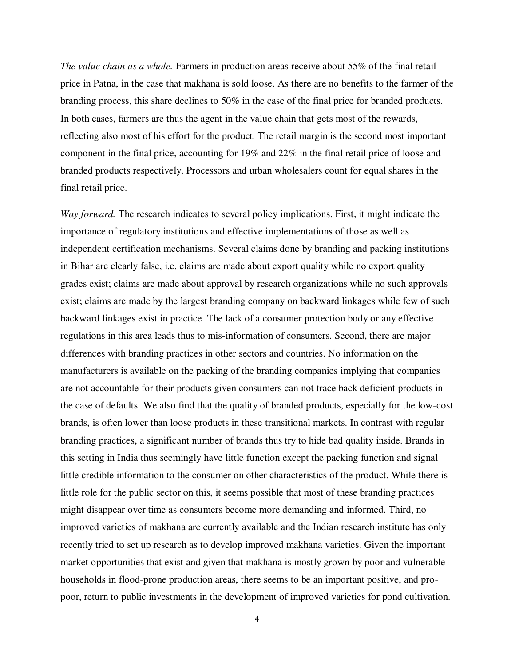*The value chain as a whole.* Farmers in production areas receive about 55% of the final retail price in Patna, in the case that makhana is sold loose. As there are no benefits to the farmer of the branding process, this share declines to 50% in the case of the final price for branded products. In both cases, farmers are thus the agent in the value chain that gets most of the rewards, reflecting also most of his effort for the product. The retail margin is the second most important component in the final price, accounting for 19% and 22% in the final retail price of loose and branded products respectively. Processors and urban wholesalers count for equal shares in the final retail price.

*Way forward.* The research indicates to several policy implications. First, it might indicate the importance of regulatory institutions and effective implementations of those as well as independent certification mechanisms. Several claims done by branding and packing institutions in Bihar are clearly false, i.e. claims are made about export quality while no export quality grades exist; claims are made about approval by research organizations while no such approvals exist; claims are made by the largest branding company on backward linkages while few of such backward linkages exist in practice. The lack of a consumer protection body or any effective regulations in this area leads thus to mis-information of consumers. Second, there are major differences with branding practices in other sectors and countries. No information on the manufacturers is available on the packing of the branding companies implying that companies are not accountable for their products given consumers can not trace back deficient products in the case of defaults. We also find that the quality of branded products, especially for the low-cost brands, is often lower than loose products in these transitional markets. In contrast with regular branding practices, a significant number of brands thus try to hide bad quality inside. Brands in this setting in India thus seemingly have little function except the packing function and signal little credible information to the consumer on other characteristics of the product. While there is little role for the public sector on this, it seems possible that most of these branding practices might disappear over time as consumers become more demanding and informed. Third, no improved varieties of makhana are currently available and the Indian research institute has only recently tried to set up research as to develop improved makhana varieties. Given the important market opportunities that exist and given that makhana is mostly grown by poor and vulnerable households in flood-prone production areas, there seems to be an important positive, and propoor, return to public investments in the development of improved varieties for pond cultivation.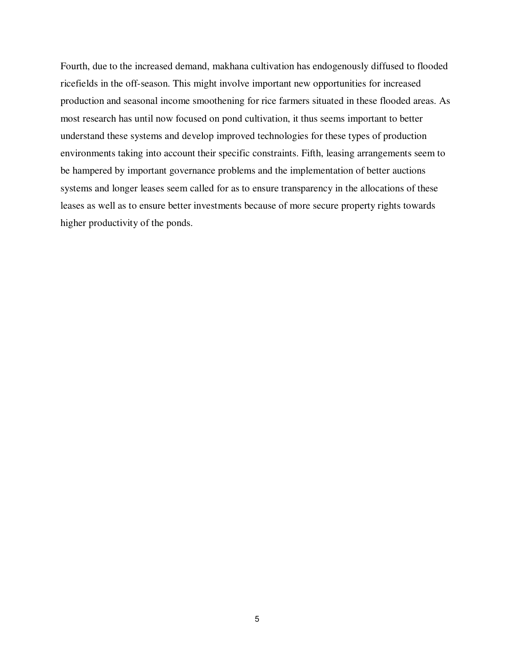Fourth, due to the increased demand, makhana cultivation has endogenously diffused to flooded ricefields in the off-season. This might involve important new opportunities for increased production and seasonal income smoothening for rice farmers situated in these flooded areas. As most research has until now focused on pond cultivation, it thus seems important to better understand these systems and develop improved technologies for these types of production environments taking into account their specific constraints. Fifth, leasing arrangements seem to be hampered by important governance problems and the implementation of better auctions systems and longer leases seem called for as to ensure transparency in the allocations of these leases as well as to ensure better investments because of more secure property rights towards higher productivity of the ponds.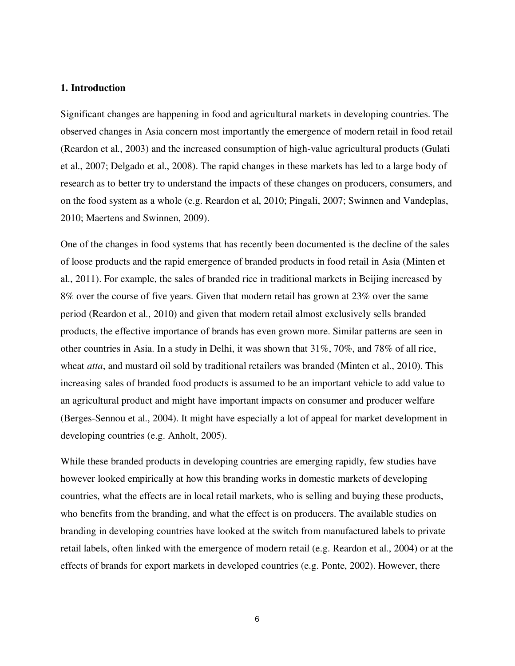# **1. Introduction**

Significant changes are happening in food and agricultural markets in developing countries. The observed changes in Asia concern most importantly the emergence of modern retail in food retail (Reardon et al., 2003) and the increased consumption of high-value agricultural products (Gulati et al., 2007; Delgado et al., 2008). The rapid changes in these markets has led to a large body of research as to better try to understand the impacts of these changes on producers, consumers, and on the food system as a whole (e.g. Reardon et al, 2010; Pingali, 2007; Swinnen and Vandeplas, 2010; Maertens and Swinnen, 2009).

One of the changes in food systems that has recently been documented is the decline of the sales of loose products and the rapid emergence of branded products in food retail in Asia (Minten et al., 2011). For example, the sales of branded rice in traditional markets in Beijing increased by 8% over the course of five years. Given that modern retail has grown at 23% over the same period (Reardon et al., 2010) and given that modern retail almost exclusively sells branded products, the effective importance of brands has even grown more. Similar patterns are seen in other countries in Asia. In a study in Delhi, it was shown that 31%, 70%, and 78% of all rice, wheat *atta*, and mustard oil sold by traditional retailers was branded (Minten et al., 2010). This increasing sales of branded food products is assumed to be an important vehicle to add value to an agricultural product and might have important impacts on consumer and producer welfare (Berges-Sennou et al., 2004). It might have especially a lot of appeal for market development in developing countries (e.g. Anholt, 2005).

While these branded products in developing countries are emerging rapidly, few studies have however looked empirically at how this branding works in domestic markets of developing countries, what the effects are in local retail markets, who is selling and buying these products, who benefits from the branding, and what the effect is on producers. The available studies on branding in developing countries have looked at the switch from manufactured labels to private retail labels, often linked with the emergence of modern retail (e.g. Reardon et al., 2004) or at the effects of brands for export markets in developed countries (e.g. Ponte, 2002). However, there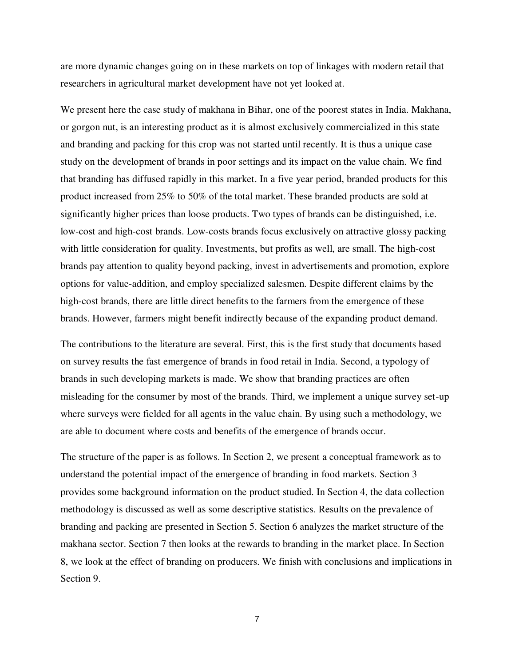are more dynamic changes going on in these markets on top of linkages with modern retail that researchers in agricultural market development have not yet looked at.

We present here the case study of makhana in Bihar, one of the poorest states in India. Makhana, or gorgon nut, is an interesting product as it is almost exclusively commercialized in this state and branding and packing for this crop was not started until recently. It is thus a unique case study on the development of brands in poor settings and its impact on the value chain. We find that branding has diffused rapidly in this market. In a five year period, branded products for this product increased from 25% to 50% of the total market. These branded products are sold at significantly higher prices than loose products. Two types of brands can be distinguished, i.e. low-cost and high-cost brands. Low-costs brands focus exclusively on attractive glossy packing with little consideration for quality. Investments, but profits as well, are small. The high-cost brands pay attention to quality beyond packing, invest in advertisements and promotion, explore options for value-addition, and employ specialized salesmen. Despite different claims by the high-cost brands, there are little direct benefits to the farmers from the emergence of these brands. However, farmers might benefit indirectly because of the expanding product demand.

The contributions to the literature are several. First, this is the first study that documents based on survey results the fast emergence of brands in food retail in India. Second, a typology of brands in such developing markets is made. We show that branding practices are often misleading for the consumer by most of the brands. Third, we implement a unique survey set-up where surveys were fielded for all agents in the value chain. By using such a methodology, we are able to document where costs and benefits of the emergence of brands occur.

The structure of the paper is as follows. In Section 2, we present a conceptual framework as to understand the potential impact of the emergence of branding in food markets. Section 3 provides some background information on the product studied. In Section 4, the data collection methodology is discussed as well as some descriptive statistics. Results on the prevalence of branding and packing are presented in Section 5. Section 6 analyzes the market structure of the makhana sector. Section 7 then looks at the rewards to branding in the market place. In Section 8, we look at the effect of branding on producers. We finish with conclusions and implications in Section 9.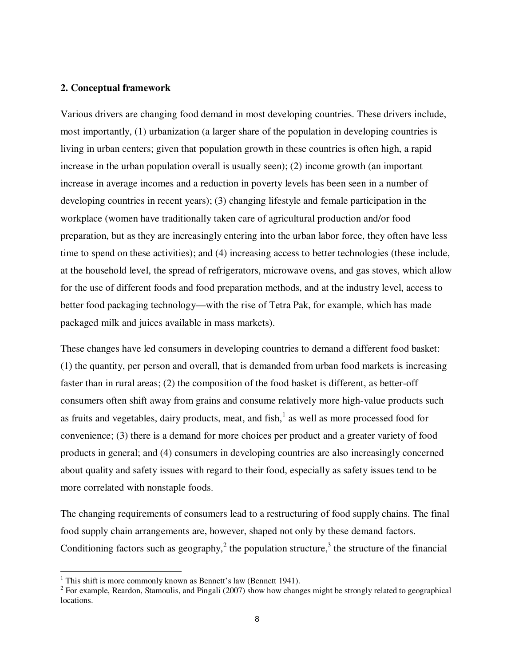### **2. Conceptual framework**

Various drivers are changing food demand in most developing countries. These drivers include, most importantly, (1) urbanization (a larger share of the population in developing countries is living in urban centers; given that population growth in these countries is often high, a rapid increase in the urban population overall is usually seen); (2) income growth (an important increase in average incomes and a reduction in poverty levels has been seen in a number of developing countries in recent years); (3) changing lifestyle and female participation in the workplace (women have traditionally taken care of agricultural production and/or food preparation, but as they are increasingly entering into the urban labor force, they often have less time to spend on these activities); and (4) increasing access to better technologies (these include, at the household level, the spread of refrigerators, microwave ovens, and gas stoves, which allow for the use of different foods and food preparation methods, and at the industry level, access to better food packaging technology—with the rise of Tetra Pak, for example, which has made packaged milk and juices available in mass markets).

These changes have led consumers in developing countries to demand a different food basket: (1) the quantity, per person and overall, that is demanded from urban food markets is increasing faster than in rural areas; (2) the composition of the food basket is different, as better-off consumers often shift away from grains and consume relatively more high-value products such as fruits and vegetables, dairy products, meat, and fish, $<sup>1</sup>$  as well as more processed food for</sup> convenience; (3) there is a demand for more choices per product and a greater variety of food products in general; and (4) consumers in developing countries are also increasingly concerned about quality and safety issues with regard to their food, especially as safety issues tend to be more correlated with nonstaple foods.

The changing requirements of consumers lead to a restructuring of food supply chains. The final food supply chain arrangements are, however, shaped not only by these demand factors. Conditioning factors such as geography,<sup>2</sup> the population structure,<sup>3</sup> the structure of the financial

-

<sup>&</sup>lt;sup>1</sup> This shift is more commonly known as Bennett's law (Bennett 1941).

 $2^2$  For example, Reardon, Stamoulis, and Pingali (2007) show how changes might be strongly related to geographical locations.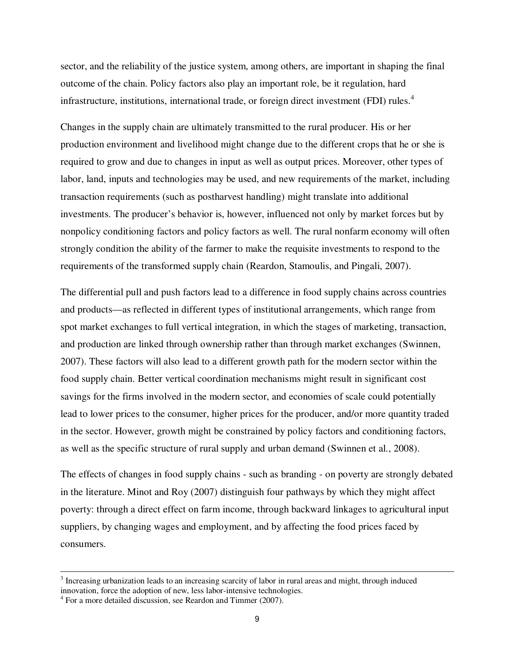sector, and the reliability of the justice system, among others, are important in shaping the final outcome of the chain. Policy factors also play an important role, be it regulation, hard infrastructure, institutions, international trade, or foreign direct investment (FDI) rules.<sup>4</sup>

Changes in the supply chain are ultimately transmitted to the rural producer. His or her production environment and livelihood might change due to the different crops that he or she is required to grow and due to changes in input as well as output prices. Moreover, other types of labor, land, inputs and technologies may be used, and new requirements of the market, including transaction requirements (such as postharvest handling) might translate into additional investments. The producer's behavior is, however, influenced not only by market forces but by nonpolicy conditioning factors and policy factors as well. The rural nonfarm economy will often strongly condition the ability of the farmer to make the requisite investments to respond to the requirements of the transformed supply chain (Reardon, Stamoulis, and Pingali, 2007).

The differential pull and push factors lead to a difference in food supply chains across countries and products—as reflected in different types of institutional arrangements, which range from spot market exchanges to full vertical integration, in which the stages of marketing, transaction, and production are linked through ownership rather than through market exchanges (Swinnen, 2007). These factors will also lead to a different growth path for the modern sector within the food supply chain. Better vertical coordination mechanisms might result in significant cost savings for the firms involved in the modern sector, and economies of scale could potentially lead to lower prices to the consumer, higher prices for the producer, and/or more quantity traded in the sector. However, growth might be constrained by policy factors and conditioning factors, as well as the specific structure of rural supply and urban demand (Swinnen et al., 2008).

The effects of changes in food supply chains - such as branding - on poverty are strongly debated in the literature. Minot and Roy (2007) distinguish four pathways by which they might affect poverty: through a direct effect on farm income, through backward linkages to agricultural input suppliers, by changing wages and employment, and by affecting the food prices faced by consumers.

-

<sup>&</sup>lt;sup>3</sup> Increasing urbanization leads to an increasing scarcity of labor in rural areas and might, through induced innovation, force the adoption of new, less labor-intensive technologies.

<sup>&</sup>lt;sup>4</sup> For a more detailed discussion, see Reardon and Timmer (2007).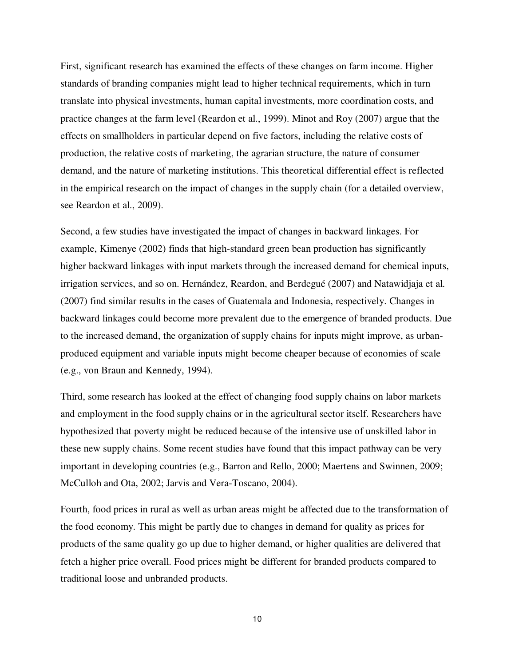First, significant research has examined the effects of these changes on farm income. Higher standards of branding companies might lead to higher technical requirements, which in turn translate into physical investments, human capital investments, more coordination costs, and practice changes at the farm level (Reardon et al., 1999). Minot and Roy (2007) argue that the effects on smallholders in particular depend on five factors, including the relative costs of production, the relative costs of marketing, the agrarian structure, the nature of consumer demand, and the nature of marketing institutions. This theoretical differential effect is reflected in the empirical research on the impact of changes in the supply chain (for a detailed overview, see Reardon et al., 2009).

Second, a few studies have investigated the impact of changes in backward linkages. For example, Kimenye (2002) finds that high-standard green bean production has significantly higher backward linkages with input markets through the increased demand for chemical inputs, irrigation services, and so on. Hernández, Reardon, and Berdegué (2007) and Natawidjaja et al. (2007) find similar results in the cases of Guatemala and Indonesia, respectively. Changes in backward linkages could become more prevalent due to the emergence of branded products. Due to the increased demand, the organization of supply chains for inputs might improve, as urbanproduced equipment and variable inputs might become cheaper because of economies of scale (e.g., von Braun and Kennedy, 1994).

Third, some research has looked at the effect of changing food supply chains on labor markets and employment in the food supply chains or in the agricultural sector itself. Researchers have hypothesized that poverty might be reduced because of the intensive use of unskilled labor in these new supply chains. Some recent studies have found that this impact pathway can be very important in developing countries (e.g., Barron and Rello, 2000; Maertens and Swinnen, 2009; McCulloh and Ota, 2002; Jarvis and Vera-Toscano, 2004).

Fourth, food prices in rural as well as urban areas might be affected due to the transformation of the food economy. This might be partly due to changes in demand for quality as prices for products of the same quality go up due to higher demand, or higher qualities are delivered that fetch a higher price overall. Food prices might be different for branded products compared to traditional loose and unbranded products.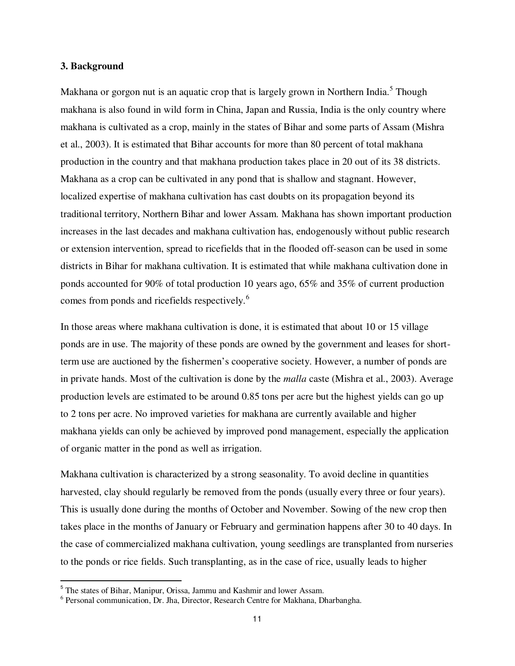#### **3. Background**

Makhana or gorgon nut is an aquatic crop that is largely grown in Northern India.<sup>5</sup> Though makhana is also found in wild form in China, Japan and Russia, India is the only country where makhana is cultivated as a crop, mainly in the states of Bihar and some parts of Assam (Mishra et al., 2003). It is estimated that Bihar accounts for more than 80 percent of total makhana production in the country and that makhana production takes place in 20 out of its 38 districts. Makhana as a crop can be cultivated in any pond that is shallow and stagnant. However, localized expertise of makhana cultivation has cast doubts on its propagation beyond its traditional territory, Northern Bihar and lower Assam. Makhana has shown important production increases in the last decades and makhana cultivation has, endogenously without public research or extension intervention, spread to ricefields that in the flooded off-season can be used in some districts in Bihar for makhana cultivation. It is estimated that while makhana cultivation done in ponds accounted for 90% of total production 10 years ago, 65% and 35% of current production comes from ponds and ricefields respectively.<sup>6</sup>

In those areas where makhana cultivation is done, it is estimated that about 10 or 15 village ponds are in use. The majority of these ponds are owned by the government and leases for shortterm use are auctioned by the fishermen's cooperative society. However, a number of ponds are in private hands. Most of the cultivation is done by the *malla* caste (Mishra et al., 2003). Average production levels are estimated to be around 0.85 tons per acre but the highest yields can go up to 2 tons per acre. No improved varieties for makhana are currently available and higher makhana yields can only be achieved by improved pond management, especially the application of organic matter in the pond as well as irrigation.

Makhana cultivation is characterized by a strong seasonality. To avoid decline in quantities harvested, clay should regularly be removed from the ponds (usually every three or four years). This is usually done during the months of October and November. Sowing of the new crop then takes place in the months of January or February and germination happens after 30 to 40 days. In the case of commercialized makhana cultivation, young seedlings are transplanted from nurseries to the ponds or rice fields. Such transplanting, as in the case of rice, usually leads to higher

j

<sup>&</sup>lt;sup>5</sup> The states of Bihar, Manipur, Orissa, Jammu and Kashmir and lower Assam.

<sup>&</sup>lt;sup>6</sup> Personal communication, Dr. Jha, Director, Research Centre for Makhana, Dharbangha.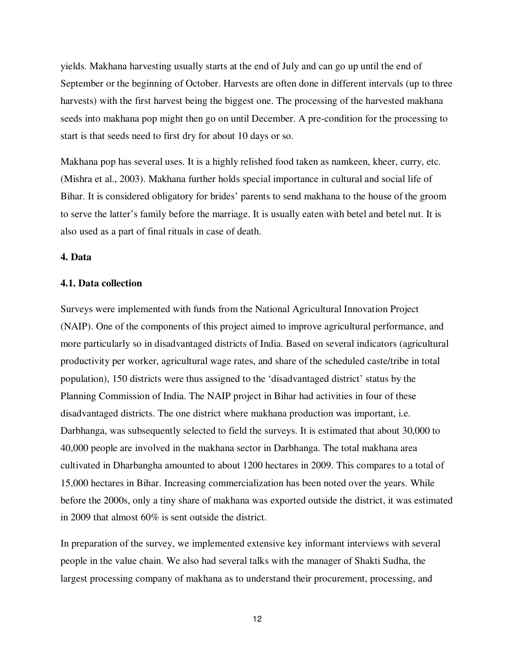yields. Makhana harvesting usually starts at the end of July and can go up until the end of September or the beginning of October. Harvests are often done in different intervals (up to three harvests) with the first harvest being the biggest one. The processing of the harvested makhana seeds into makhana pop might then go on until December. A pre-condition for the processing to start is that seeds need to first dry for about 10 days or so.

Makhana pop has several uses. It is a highly relished food taken as namkeen, kheer, curry, etc. (Mishra et al., 2003). Makhana further holds special importance in cultural and social life of Bihar. It is considered obligatory for brides' parents to send makhana to the house of the groom to serve the latter's family before the marriage. It is usually eaten with betel and betel nut. It is also used as a part of final rituals in case of death.

# **4. Data**

# **4.1. Data collection**

Surveys were implemented with funds from the National Agricultural Innovation Project (NAIP). One of the components of this project aimed to improve agricultural performance, and more particularly so in disadvantaged districts of India. Based on several indicators (agricultural productivity per worker, agricultural wage rates, and share of the scheduled caste/tribe in total population), 150 districts were thus assigned to the 'disadvantaged district' status by the Planning Commission of India. The NAIP project in Bihar had activities in four of these disadvantaged districts. The one district where makhana production was important, i.e. Darbhanga, was subsequently selected to field the surveys. It is estimated that about 30,000 to 40,000 people are involved in the makhana sector in Darbhanga. The total makhana area cultivated in Dharbangha amounted to about 1200 hectares in 2009. This compares to a total of 15,000 hectares in Bihar. Increasing commercialization has been noted over the years. While before the 2000s, only a tiny share of makhana was exported outside the district, it was estimated in 2009 that almost 60% is sent outside the district.

In preparation of the survey, we implemented extensive key informant interviews with several people in the value chain. We also had several talks with the manager of Shakti Sudha, the largest processing company of makhana as to understand their procurement, processing, and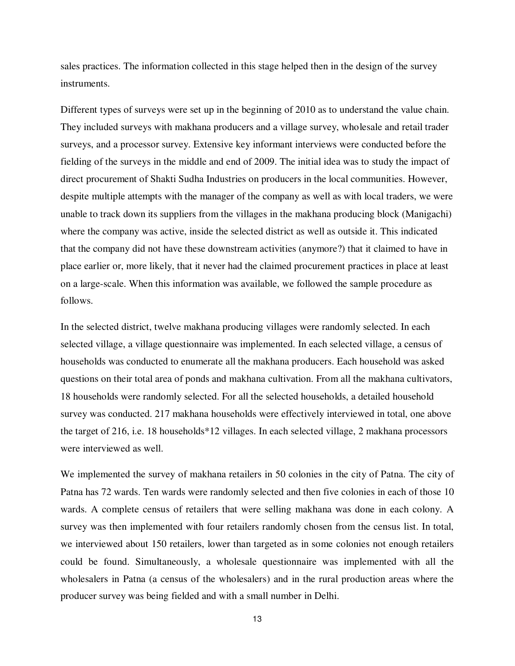sales practices. The information collected in this stage helped then in the design of the survey instruments.

Different types of surveys were set up in the beginning of 2010 as to understand the value chain. They included surveys with makhana producers and a village survey, wholesale and retail trader surveys, and a processor survey. Extensive key informant interviews were conducted before the fielding of the surveys in the middle and end of 2009. The initial idea was to study the impact of direct procurement of Shakti Sudha Industries on producers in the local communities. However, despite multiple attempts with the manager of the company as well as with local traders, we were unable to track down its suppliers from the villages in the makhana producing block (Manigachi) where the company was active, inside the selected district as well as outside it. This indicated that the company did not have these downstream activities (anymore?) that it claimed to have in place earlier or, more likely, that it never had the claimed procurement practices in place at least on a large-scale. When this information was available, we followed the sample procedure as follows.

In the selected district, twelve makhana producing villages were randomly selected. In each selected village, a village questionnaire was implemented. In each selected village, a census of households was conducted to enumerate all the makhana producers. Each household was asked questions on their total area of ponds and makhana cultivation. From all the makhana cultivators, 18 households were randomly selected. For all the selected households, a detailed household survey was conducted. 217 makhana households were effectively interviewed in total, one above the target of 216, i.e. 18 households\*12 villages. In each selected village, 2 makhana processors were interviewed as well.

We implemented the survey of makhana retailers in 50 colonies in the city of Patna. The city of Patna has 72 wards. Ten wards were randomly selected and then five colonies in each of those 10 wards. A complete census of retailers that were selling makhana was done in each colony. A survey was then implemented with four retailers randomly chosen from the census list. In total, we interviewed about 150 retailers, lower than targeted as in some colonies not enough retailers could be found. Simultaneously, a wholesale questionnaire was implemented with all the wholesalers in Patna (a census of the wholesalers) and in the rural production areas where the producer survey was being fielded and with a small number in Delhi.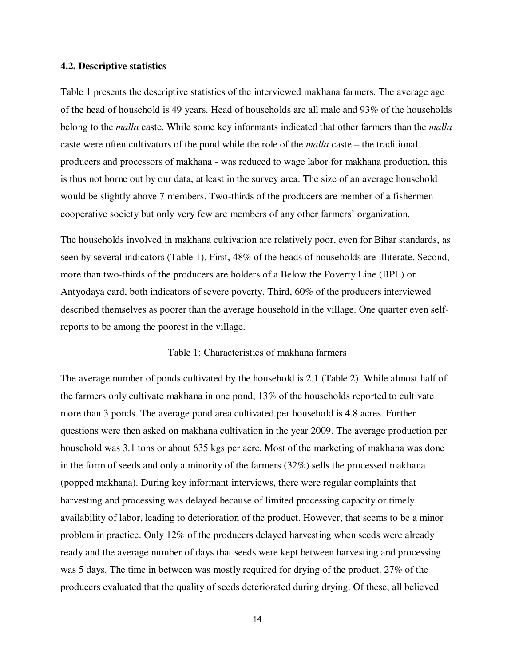#### **4.2. Descriptive statistics**

Table 1 presents the descriptive statistics of the interviewed makhana farmers. The average age of the head of household is 49 years. Head of households are all male and 93% of the households belong to the *malla* caste. While some key informants indicated that other farmers than the *malla* caste were often cultivators of the pond while the role of the *malla* caste – the traditional producers and processors of makhana - was reduced to wage labor for makhana production, this is thus not borne out by our data, at least in the survey area. The size of an average household would be slightly above 7 members. Two-thirds of the producers are member of a fishermen cooperative society but only very few are members of any other farmers' organization.

The households involved in makhana cultivation are relatively poor, even for Bihar standards, as seen by several indicators (Table 1). First, 48% of the heads of households are illiterate. Second, more than two-thirds of the producers are holders of a Below the Poverty Line (BPL) or Antyodaya card, both indicators of severe poverty. Third, 60% of the producers interviewed described themselves as poorer than the average household in the village. One quarter even selfreports to be among the poorest in the village.

#### Table 1: Characteristics of makhana farmers

The average number of ponds cultivated by the household is 2.1 (Table 2). While almost half of the farmers only cultivate makhana in one pond, 13% of the households reported to cultivate more than 3 ponds. The average pond area cultivated per household is 4.8 acres. Further questions were then asked on makhana cultivation in the year 2009. The average production per household was 3.1 tons or about 635 kgs per acre. Most of the marketing of makhana was done in the form of seeds and only a minority of the farmers (32%) sells the processed makhana (popped makhana). During key informant interviews, there were regular complaints that harvesting and processing was delayed because of limited processing capacity or timely availability of labor, leading to deterioration of the product. However, that seems to be a minor problem in practice. Only 12% of the producers delayed harvesting when seeds were already ready and the average number of days that seeds were kept between harvesting and processing was 5 days. The time in between was mostly required for drying of the product. 27% of the producers evaluated that the quality of seeds deteriorated during drying. Of these, all believed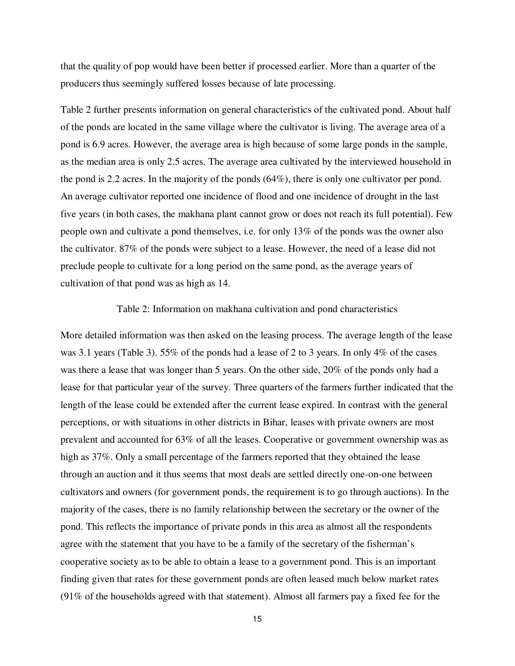that the quality of pop would have been better if processed earlier. More than a quarter of the producers thus seemingly suffered losses because of late processing.

Table 2 further presents information on general characteristics of the cultivated pond. About half of the ponds are located in the same village where the cultivator is living. The average area of a pond is 6.9 acres. However, the average area is high because of some large ponds in the sample, as the median area is only 2.5 acres. The average area cultivated by the interviewed household in the pond is 2.2 acres. In the majority of the ponds (64%), there is only one cultivator per pond. An average cultivator reported one incidence of flood and one incidence of drought in the last five years (in both cases, the makhana plant cannot grow or does not reach its full potential). Few people own and cultivate a pond themselves, i.e. for only 13% of the ponds was the owner also the cultivator. 87% of the ponds were subject to a lease. However, the need of a lease did not preclude people to cultivate for a long period on the same pond, as the average years of cultivation of that pond was as high as 14.

#### Table 2: Information on makhana cultivation and pond characteristics

More detailed information was then asked on the leasing process. The average length of the lease was 3.1 years (Table 3). 55% of the ponds had a lease of 2 to 3 years. In only 4% of the cases was there a lease that was longer than 5 years. On the other side, 20% of the ponds only had a lease for that particular year of the survey. Three quarters of the farmers further indicated that the length of the lease could be extended after the current lease expired. In contrast with the general perceptions, or with situations in other districts in Bihar, leases with private owners are most prevalent and accounted for 63% of all the leases. Cooperative or government ownership was as high as 37%. Only a small percentage of the farmers reported that they obtained the lease through an auction and it thus seems that most deals are settled directly one-on-one between cultivators and owners (for government ponds, the requirement is to go through auctions). In the majority of the cases, there is no family relationship between the secretary or the owner of the pond. This reflects the importance of private ponds in this area as almost all the respondents agree with the statement that you have to be a family of the secretary of the fisherman's cooperative society as to be able to obtain a lease to a government pond. This is an important finding given that rates for these government ponds are often leased much below market rates (91% of the households agreed with that statement). Almost all farmers pay a fixed fee for the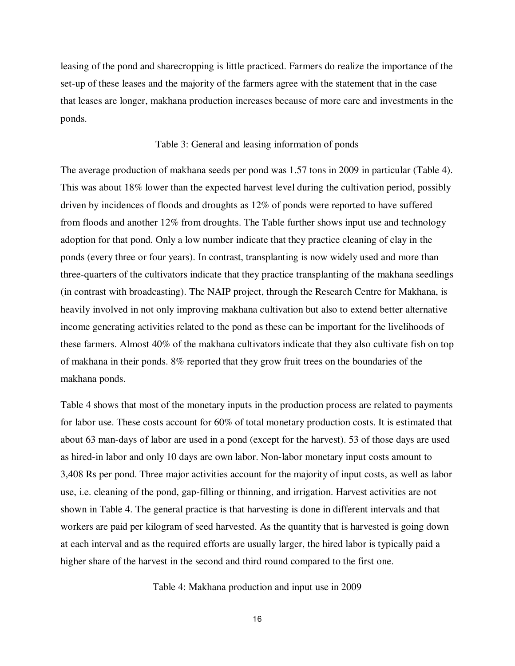leasing of the pond and sharecropping is little practiced. Farmers do realize the importance of the set-up of these leases and the majority of the farmers agree with the statement that in the case that leases are longer, makhana production increases because of more care and investments in the ponds.

# Table 3: General and leasing information of ponds

The average production of makhana seeds per pond was 1.57 tons in 2009 in particular (Table 4). This was about 18% lower than the expected harvest level during the cultivation period, possibly driven by incidences of floods and droughts as 12% of ponds were reported to have suffered from floods and another 12% from droughts. The Table further shows input use and technology adoption for that pond. Only a low number indicate that they practice cleaning of clay in the ponds (every three or four years). In contrast, transplanting is now widely used and more than three-quarters of the cultivators indicate that they practice transplanting of the makhana seedlings (in contrast with broadcasting). The NAIP project, through the Research Centre for Makhana, is heavily involved in not only improving makhana cultivation but also to extend better alternative income generating activities related to the pond as these can be important for the livelihoods of these farmers. Almost 40% of the makhana cultivators indicate that they also cultivate fish on top of makhana in their ponds. 8% reported that they grow fruit trees on the boundaries of the makhana ponds.

Table 4 shows that most of the monetary inputs in the production process are related to payments for labor use. These costs account for 60% of total monetary production costs. It is estimated that about 63 man-days of labor are used in a pond (except for the harvest). 53 of those days are used as hired-in labor and only 10 days are own labor. Non-labor monetary input costs amount to 3,408 Rs per pond. Three major activities account for the majority of input costs, as well as labor use, i.e. cleaning of the pond, gap-filling or thinning, and irrigation. Harvest activities are not shown in Table 4. The general practice is that harvesting is done in different intervals and that workers are paid per kilogram of seed harvested. As the quantity that is harvested is going down at each interval and as the required efforts are usually larger, the hired labor is typically paid a higher share of the harvest in the second and third round compared to the first one.

Table 4: Makhana production and input use in 2009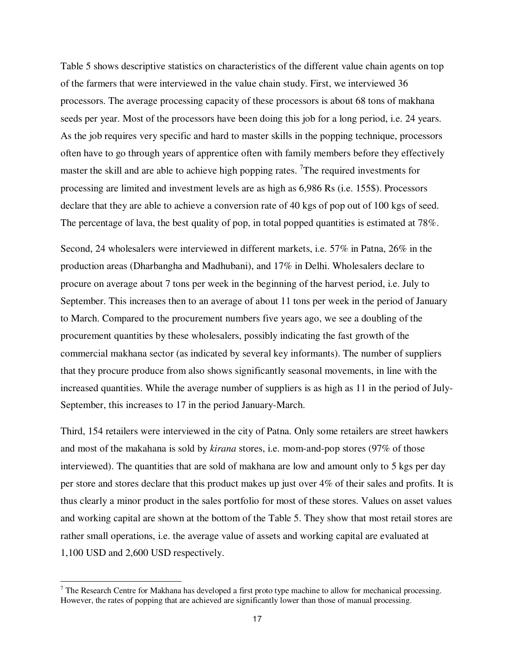Table 5 shows descriptive statistics on characteristics of the different value chain agents on top of the farmers that were interviewed in the value chain study. First, we interviewed 36 processors. The average processing capacity of these processors is about 68 tons of makhana seeds per year. Most of the processors have been doing this job for a long period, i.e. 24 years. As the job requires very specific and hard to master skills in the popping technique, processors often have to go through years of apprentice often with family members before they effectively master the skill and are able to achieve high popping rates. <sup>7</sup>The required investments for processing are limited and investment levels are as high as 6,986 Rs (i.e. 155\$). Processors declare that they are able to achieve a conversion rate of 40 kgs of pop out of 100 kgs of seed. The percentage of lava, the best quality of pop, in total popped quantities is estimated at 78%.

Second, 24 wholesalers were interviewed in different markets, i.e. 57% in Patna, 26% in the production areas (Dharbangha and Madhubani), and 17% in Delhi. Wholesalers declare to procure on average about 7 tons per week in the beginning of the harvest period, i.e. July to September. This increases then to an average of about 11 tons per week in the period of January to March. Compared to the procurement numbers five years ago, we see a doubling of the procurement quantities by these wholesalers, possibly indicating the fast growth of the commercial makhana sector (as indicated by several key informants). The number of suppliers that they procure produce from also shows significantly seasonal movements, in line with the increased quantities. While the average number of suppliers is as high as 11 in the period of July-September, this increases to 17 in the period January-March.

Third, 154 retailers were interviewed in the city of Patna. Only some retailers are street hawkers and most of the makahana is sold by *kirana* stores, i.e. mom-and-pop stores (97% of those interviewed). The quantities that are sold of makhana are low and amount only to 5 kgs per day per store and stores declare that this product makes up just over 4% of their sales and profits. It is thus clearly a minor product in the sales portfolio for most of these stores. Values on asset values and working capital are shown at the bottom of the Table 5. They show that most retail stores are rather small operations, i.e. the average value of assets and working capital are evaluated at 1,100 USD and 2,600 USD respectively.

-

 $7$  The Research Centre for Makhana has developed a first proto type machine to allow for mechanical processing. However, the rates of popping that are achieved are significantly lower than those of manual processing.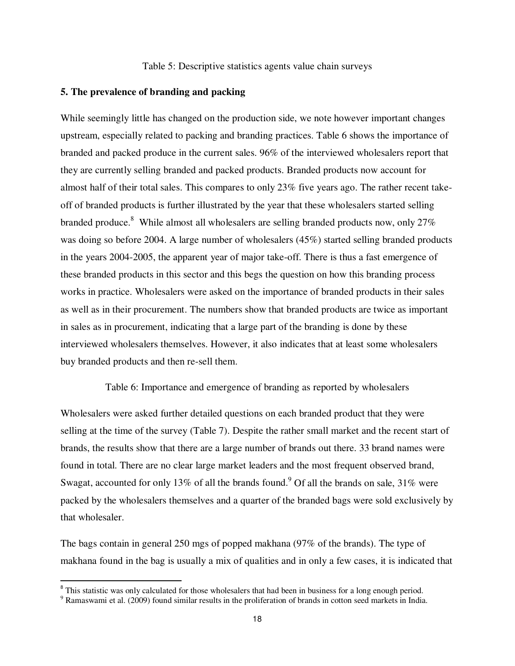Table 5: Descriptive statistics agents value chain surveys

### **5. The prevalence of branding and packing**

While seemingly little has changed on the production side, we note however important changes upstream, especially related to packing and branding practices. Table 6 shows the importance of branded and packed produce in the current sales. 96% of the interviewed wholesalers report that they are currently selling branded and packed products. Branded products now account for almost half of their total sales. This compares to only 23% five years ago. The rather recent takeoff of branded products is further illustrated by the year that these wholesalers started selling branded produce.<sup>8</sup> While almost all wholesalers are selling branded products now, only 27% was doing so before 2004. A large number of wholesalers (45%) started selling branded products in the years 2004-2005, the apparent year of major take-off. There is thus a fast emergence of these branded products in this sector and this begs the question on how this branding process works in practice. Wholesalers were asked on the importance of branded products in their sales as well as in their procurement. The numbers show that branded products are twice as important in sales as in procurement, indicating that a large part of the branding is done by these interviewed wholesalers themselves. However, it also indicates that at least some wholesalers buy branded products and then re-sell them.

#### Table 6: Importance and emergence of branding as reported by wholesalers

Wholesalers were asked further detailed questions on each branded product that they were selling at the time of the survey (Table 7). Despite the rather small market and the recent start of brands, the results show that there are a large number of brands out there. 33 brand names were found in total. There are no clear large market leaders and the most frequent observed brand, Swagat, accounted for only 13% of all the brands found.<sup>9</sup> Of all the brands on sale, 31% were packed by the wholesalers themselves and a quarter of the branded bags were sold exclusively by that wholesaler.

The bags contain in general 250 mgs of popped makhana (97% of the brands). The type of makhana found in the bag is usually a mix of qualities and in only a few cases, it is indicated that

j

<sup>&</sup>lt;sup>8</sup> This statistic was only calculated for those wholesalers that had been in business for a long enough period.

<sup>&</sup>lt;sup>9</sup> Ramaswami et al. (2009) found similar results in the proliferation of brands in cotton seed markets in India.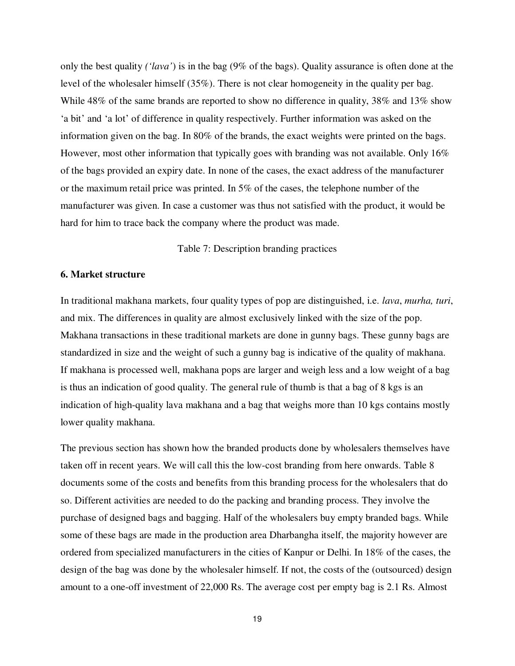only the best quality *('lava'*) is in the bag (9% of the bags). Quality assurance is often done at the level of the wholesaler himself (35%). There is not clear homogeneity in the quality per bag. While 48% of the same brands are reported to show no difference in quality, 38% and 13% show 'a bit' and 'a lot' of difference in quality respectively. Further information was asked on the information given on the bag. In 80% of the brands, the exact weights were printed on the bags. However, most other information that typically goes with branding was not available. Only 16% of the bags provided an expiry date. In none of the cases, the exact address of the manufacturer or the maximum retail price was printed. In 5% of the cases, the telephone number of the manufacturer was given. In case a customer was thus not satisfied with the product, it would be hard for him to trace back the company where the product was made.

Table 7: Description branding practices

# **6. Market structure**

In traditional makhana markets, four quality types of pop are distinguished, i.e. *lava*, *murha, turi*, and mix. The differences in quality are almost exclusively linked with the size of the pop. Makhana transactions in these traditional markets are done in gunny bags. These gunny bags are standardized in size and the weight of such a gunny bag is indicative of the quality of makhana. If makhana is processed well, makhana pops are larger and weigh less and a low weight of a bag is thus an indication of good quality. The general rule of thumb is that a bag of 8 kgs is an indication of high-quality lava makhana and a bag that weighs more than 10 kgs contains mostly lower quality makhana.

The previous section has shown how the branded products done by wholesalers themselves have taken off in recent years. We will call this the low-cost branding from here onwards. Table 8 documents some of the costs and benefits from this branding process for the wholesalers that do so. Different activities are needed to do the packing and branding process. They involve the purchase of designed bags and bagging. Half of the wholesalers buy empty branded bags. While some of these bags are made in the production area Dharbangha itself, the majority however are ordered from specialized manufacturers in the cities of Kanpur or Delhi. In 18% of the cases, the design of the bag was done by the wholesaler himself. If not, the costs of the (outsourced) design amount to a one-off investment of 22,000 Rs. The average cost per empty bag is 2.1 Rs. Almost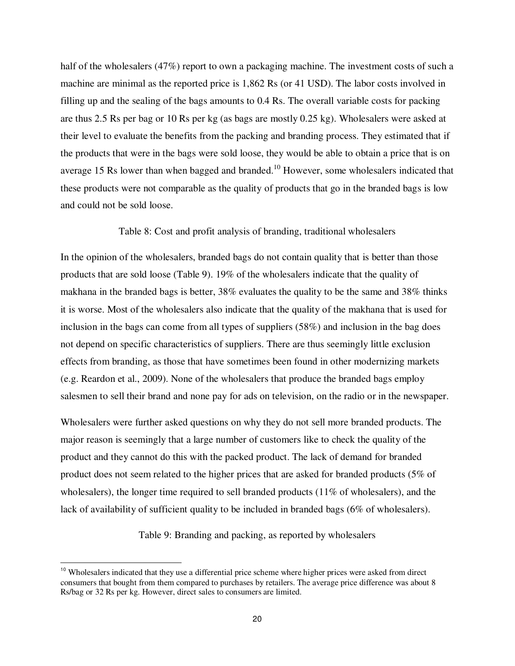half of the wholesalers (47%) report to own a packaging machine. The investment costs of such a machine are minimal as the reported price is 1,862 Rs (or 41 USD). The labor costs involved in filling up and the sealing of the bags amounts to 0.4 Rs. The overall variable costs for packing are thus 2.5 Rs per bag or 10 Rs per kg (as bags are mostly 0.25 kg). Wholesalers were asked at their level to evaluate the benefits from the packing and branding process. They estimated that if the products that were in the bags were sold loose, they would be able to obtain a price that is on average 15 Rs lower than when bagged and branded.<sup>10</sup> However, some wholesalers indicated that these products were not comparable as the quality of products that go in the branded bags is low and could not be sold loose.

# Table 8: Cost and profit analysis of branding, traditional wholesalers

In the opinion of the wholesalers, branded bags do not contain quality that is better than those products that are sold loose (Table 9). 19% of the wholesalers indicate that the quality of makhana in the branded bags is better, 38% evaluates the quality to be the same and 38% thinks it is worse. Most of the wholesalers also indicate that the quality of the makhana that is used for inclusion in the bags can come from all types of suppliers (58%) and inclusion in the bag does not depend on specific characteristics of suppliers. There are thus seemingly little exclusion effects from branding, as those that have sometimes been found in other modernizing markets (e.g. Reardon et al., 2009). None of the wholesalers that produce the branded bags employ salesmen to sell their brand and none pay for ads on television, on the radio or in the newspaper.

Wholesalers were further asked questions on why they do not sell more branded products. The major reason is seemingly that a large number of customers like to check the quality of the product and they cannot do this with the packed product. The lack of demand for branded product does not seem related to the higher prices that are asked for branded products (5% of wholesalers), the longer time required to sell branded products  $(11\% \text{ of wholesalers})$ , and the lack of availability of sufficient quality to be included in branded bags (6% of wholesalers).

Table 9: Branding and packing, as reported by wholesalers

-

 $10$  Wholesalers indicated that they use a differential price scheme where higher prices were asked from direct consumers that bought from them compared to purchases by retailers. The average price difference was about 8 Rs/bag or 32 Rs per kg. However, direct sales to consumers are limited.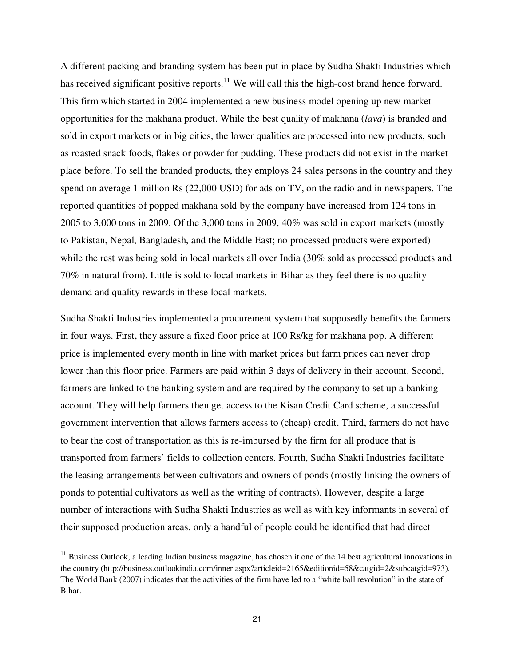A different packing and branding system has been put in place by Sudha Shakti Industries which has received significant positive reports.<sup>11</sup> We will call this the high-cost brand hence forward. This firm which started in 2004 implemented a new business model opening up new market opportunities for the makhana product. While the best quality of makhana (*lava*) is branded and sold in export markets or in big cities, the lower qualities are processed into new products, such as roasted snack foods, flakes or powder for pudding. These products did not exist in the market place before. To sell the branded products, they employs 24 sales persons in the country and they spend on average 1 million Rs (22,000 USD) for ads on TV, on the radio and in newspapers. The reported quantities of popped makhana sold by the company have increased from 124 tons in 2005 to 3,000 tons in 2009. Of the 3,000 tons in 2009, 40% was sold in export markets (mostly to Pakistan, Nepal, Bangladesh, and the Middle East; no processed products were exported) while the rest was being sold in local markets all over India (30% sold as processed products and 70% in natural from). Little is sold to local markets in Bihar as they feel there is no quality demand and quality rewards in these local markets.

Sudha Shakti Industries implemented a procurement system that supposedly benefits the farmers in four ways. First, they assure a fixed floor price at 100 Rs/kg for makhana pop. A different price is implemented every month in line with market prices but farm prices can never drop lower than this floor price. Farmers are paid within 3 days of delivery in their account. Second, farmers are linked to the banking system and are required by the company to set up a banking account. They will help farmers then get access to the Kisan Credit Card scheme, a successful government intervention that allows farmers access to (cheap) credit. Third, farmers do not have to bear the cost of transportation as this is re-imbursed by the firm for all produce that is transported from farmers' fields to collection centers. Fourth, Sudha Shakti Industries facilitate the leasing arrangements between cultivators and owners of ponds (mostly linking the owners of ponds to potential cultivators as well as the writing of contracts). However, despite a large number of interactions with Sudha Shakti Industries as well as with key informants in several of their supposed production areas, only a handful of people could be identified that had direct

-

 $11$  Business Outlook, a leading Indian business magazine, has chosen it one of the 14 best agricultural innovations in the country (http://business.outlookindia.com/inner.aspx?articleid=2165&editionid=58&catgid=2&subcatgid=973). The World Bank (2007) indicates that the activities of the firm have led to a "white ball revolution" in the state of Bihar.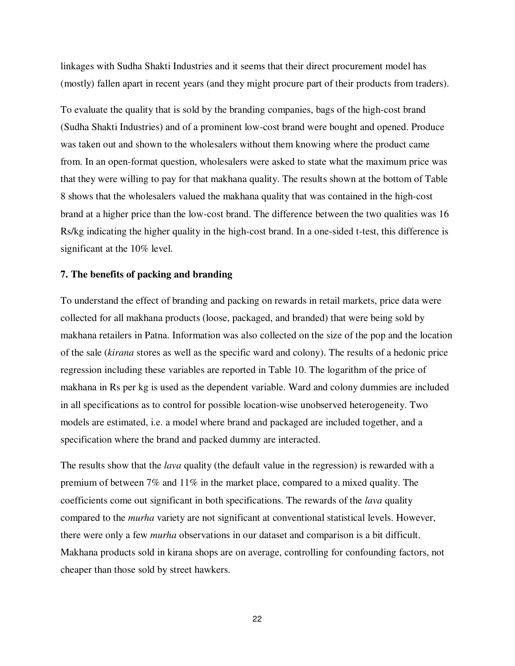linkages with Sudha Shakti Industries and it seems that their direct procurement model has (mostly) fallen apart in recent years (and they might procure part of their products from traders).

To evaluate the quality that is sold by the branding companies, bags of the high-cost brand (Sudha Shakti Industries) and of a prominent low-cost brand were bought and opened. Produce was taken out and shown to the wholesalers without them knowing where the product came from. In an open-format question, wholesalers were asked to state what the maximum price was that they were willing to pay for that makhana quality. The results shown at the bottom of Table 8 shows that the wholesalers valued the makhana quality that was contained in the high-cost brand at a higher price than the low-cost brand. The difference between the two qualities was 16 Rs/kg indicating the higher quality in the high-cost brand. In a one-sided t-test, this difference is significant at the 10% level.

# **7. The benefits of packing and branding**

To understand the effect of branding and packing on rewards in retail markets, price data were collected for all makhana products (loose, packaged, and branded) that were being sold by makhana retailers in Patna. Information was also collected on the size of the pop and the location of the sale (*kirana* stores as well as the specific ward and colony). The results of a hedonic price regression including these variables are reported in Table 10. The logarithm of the price of makhana in Rs per kg is used as the dependent variable. Ward and colony dummies are included in all specifications as to control for possible location-wise unobserved heterogeneity. Two models are estimated, i.e. a model where brand and packaged are included together, and a specification where the brand and packed dummy are interacted.

The results show that the *lava* quality (the default value in the regression) is rewarded with a premium of between 7% and 11% in the market place, compared to a mixed quality. The coefficients come out significant in both specifications. The rewards of the *lava* quality compared to the *murha* variety are not significant at conventional statistical levels. However, there were only a few *murha* observations in our dataset and comparison is a bit difficult. Makhana products sold in kirana shops are on average, controlling for confounding factors, not cheaper than those sold by street hawkers.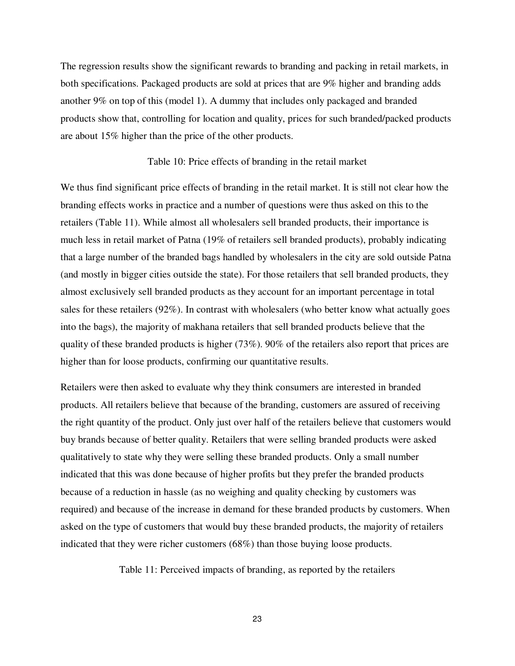The regression results show the significant rewards to branding and packing in retail markets, in both specifications. Packaged products are sold at prices that are 9% higher and branding adds another 9% on top of this (model 1). A dummy that includes only packaged and branded products show that, controlling for location and quality, prices for such branded/packed products are about 15% higher than the price of the other products.

### Table 10: Price effects of branding in the retail market

We thus find significant price effects of branding in the retail market. It is still not clear how the branding effects works in practice and a number of questions were thus asked on this to the retailers (Table 11). While almost all wholesalers sell branded products, their importance is much less in retail market of Patna (19% of retailers sell branded products), probably indicating that a large number of the branded bags handled by wholesalers in the city are sold outside Patna (and mostly in bigger cities outside the state). For those retailers that sell branded products, they almost exclusively sell branded products as they account for an important percentage in total sales for these retailers (92%). In contrast with wholesalers (who better know what actually goes into the bags), the majority of makhana retailers that sell branded products believe that the quality of these branded products is higher (73%). 90% of the retailers also report that prices are higher than for loose products, confirming our quantitative results.

Retailers were then asked to evaluate why they think consumers are interested in branded products. All retailers believe that because of the branding, customers are assured of receiving the right quantity of the product. Only just over half of the retailers believe that customers would buy brands because of better quality. Retailers that were selling branded products were asked qualitatively to state why they were selling these branded products. Only a small number indicated that this was done because of higher profits but they prefer the branded products because of a reduction in hassle (as no weighing and quality checking by customers was required) and because of the increase in demand for these branded products by customers. When asked on the type of customers that would buy these branded products, the majority of retailers indicated that they were richer customers (68%) than those buying loose products.

Table 11: Perceived impacts of branding, as reported by the retailers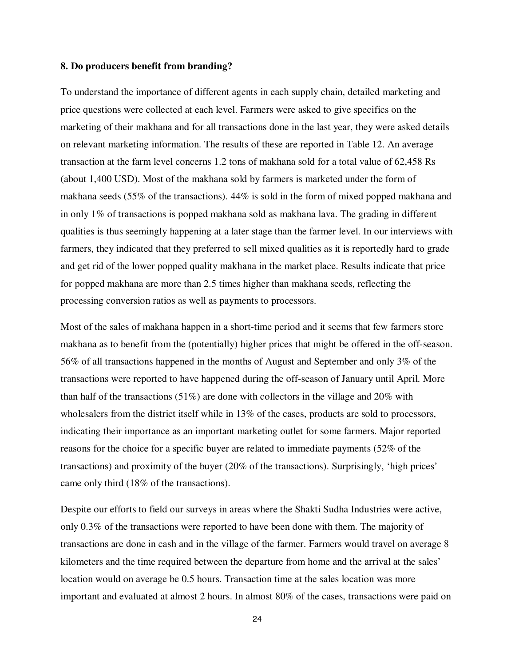#### **8. Do producers benefit from branding?**

To understand the importance of different agents in each supply chain, detailed marketing and price questions were collected at each level. Farmers were asked to give specifics on the marketing of their makhana and for all transactions done in the last year, they were asked details on relevant marketing information. The results of these are reported in Table 12. An average transaction at the farm level concerns 1.2 tons of makhana sold for a total value of 62,458 Rs (about 1,400 USD). Most of the makhana sold by farmers is marketed under the form of makhana seeds (55% of the transactions). 44% is sold in the form of mixed popped makhana and in only 1% of transactions is popped makhana sold as makhana lava. The grading in different qualities is thus seemingly happening at a later stage than the farmer level. In our interviews with farmers, they indicated that they preferred to sell mixed qualities as it is reportedly hard to grade and get rid of the lower popped quality makhana in the market place. Results indicate that price for popped makhana are more than 2.5 times higher than makhana seeds, reflecting the processing conversion ratios as well as payments to processors.

Most of the sales of makhana happen in a short-time period and it seems that few farmers store makhana as to benefit from the (potentially) higher prices that might be offered in the off-season. 56% of all transactions happened in the months of August and September and only 3% of the transactions were reported to have happened during the off-season of January until April. More than half of the transactions (51%) are done with collectors in the village and 20% with wholesalers from the district itself while in 13% of the cases, products are sold to processors, indicating their importance as an important marketing outlet for some farmers. Major reported reasons for the choice for a specific buyer are related to immediate payments (52% of the transactions) and proximity of the buyer (20% of the transactions). Surprisingly, 'high prices' came only third (18% of the transactions).

Despite our efforts to field our surveys in areas where the Shakti Sudha Industries were active, only 0.3% of the transactions were reported to have been done with them. The majority of transactions are done in cash and in the village of the farmer. Farmers would travel on average 8 kilometers and the time required between the departure from home and the arrival at the sales' location would on average be 0.5 hours. Transaction time at the sales location was more important and evaluated at almost 2 hours. In almost 80% of the cases, transactions were paid on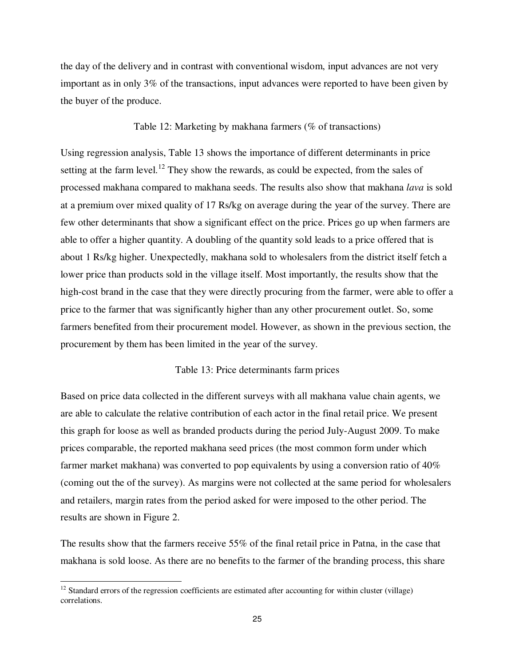the day of the delivery and in contrast with conventional wisdom, input advances are not very important as in only 3% of the transactions, input advances were reported to have been given by the buyer of the produce.

# Table 12: Marketing by makhana farmers (% of transactions)

Using regression analysis, Table 13 shows the importance of different determinants in price setting at the farm level.<sup>12</sup> They show the rewards, as could be expected, from the sales of processed makhana compared to makhana seeds. The results also show that makhana *lava* is sold at a premium over mixed quality of 17 Rs/kg on average during the year of the survey. There are few other determinants that show a significant effect on the price. Prices go up when farmers are able to offer a higher quantity. A doubling of the quantity sold leads to a price offered that is about 1 Rs/kg higher. Unexpectedly, makhana sold to wholesalers from the district itself fetch a lower price than products sold in the village itself. Most importantly, the results show that the high-cost brand in the case that they were directly procuring from the farmer, were able to offer a price to the farmer that was significantly higher than any other procurement outlet. So, some farmers benefited from their procurement model. However, as shown in the previous section, the procurement by them has been limited in the year of the survey.

# Table 13: Price determinants farm prices

Based on price data collected in the different surveys with all makhana value chain agents, we are able to calculate the relative contribution of each actor in the final retail price. We present this graph for loose as well as branded products during the period July-August 2009. To make prices comparable, the reported makhana seed prices (the most common form under which farmer market makhana) was converted to pop equivalents by using a conversion ratio of 40% (coming out the of the survey). As margins were not collected at the same period for wholesalers and retailers, margin rates from the period asked for were imposed to the other period. The results are shown in Figure 2.

The results show that the farmers receive 55% of the final retail price in Patna, in the case that makhana is sold loose. As there are no benefits to the farmer of the branding process, this share

-

 $12$  Standard errors of the regression coefficients are estimated after accounting for within cluster (village) correlations.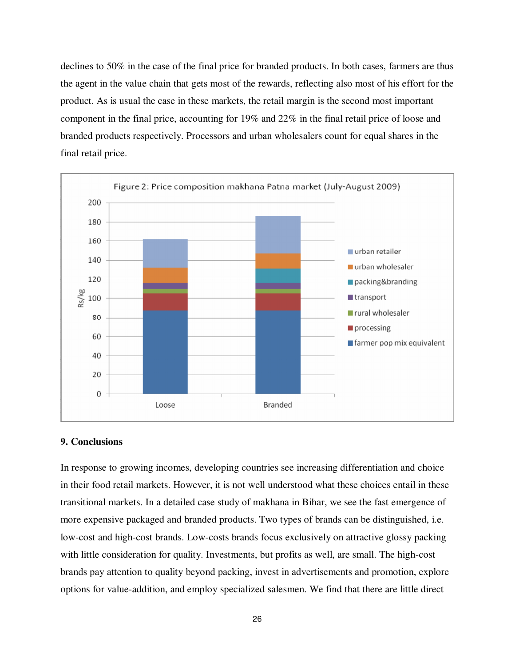declines to 50% in the case of the final price for branded products. In both cases, farmers are thus the agent in the value chain that gets most of the rewards, reflecting also most of his effort for the product. As is usual the case in these markets, the retail margin is the second most important component in the final price, accounting for 19% and 22% in the final retail price of loose and branded products respectively. Processors and urban wholesalers count for equal shares in the final retail price.



#### **9. Conclusions**

In response to growing incomes, developing countries see increasing differentiation and choice in their food retail markets. However, it is not well understood what these choices entail in these transitional markets. In a detailed case study of makhana in Bihar, we see the fast emergence of more expensive packaged and branded products. Two types of brands can be distinguished, i.e. low-cost and high-cost brands. Low-costs brands focus exclusively on attractive glossy packing with little consideration for quality. Investments, but profits as well, are small. The high-cost brands pay attention to quality beyond packing, invest in advertisements and promotion, explore options for value-addition, and employ specialized salesmen. We find that there are little direct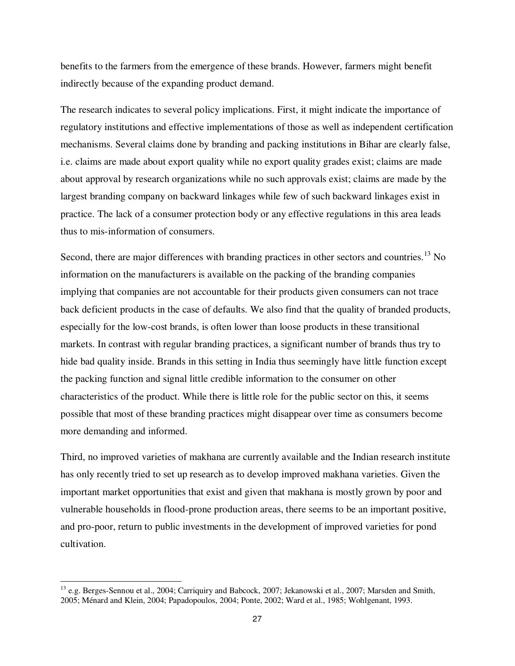benefits to the farmers from the emergence of these brands. However, farmers might benefit indirectly because of the expanding product demand.

The research indicates to several policy implications. First, it might indicate the importance of regulatory institutions and effective implementations of those as well as independent certification mechanisms. Several claims done by branding and packing institutions in Bihar are clearly false, i.e. claims are made about export quality while no export quality grades exist; claims are made about approval by research organizations while no such approvals exist; claims are made by the largest branding company on backward linkages while few of such backward linkages exist in practice. The lack of a consumer protection body or any effective regulations in this area leads thus to mis-information of consumers.

Second, there are major differences with branding practices in other sectors and countries.<sup>13</sup> No information on the manufacturers is available on the packing of the branding companies implying that companies are not accountable for their products given consumers can not trace back deficient products in the case of defaults. We also find that the quality of branded products, especially for the low-cost brands, is often lower than loose products in these transitional markets. In contrast with regular branding practices, a significant number of brands thus try to hide bad quality inside. Brands in this setting in India thus seemingly have little function except the packing function and signal little credible information to the consumer on other characteristics of the product. While there is little role for the public sector on this, it seems possible that most of these branding practices might disappear over time as consumers become more demanding and informed.

Third, no improved varieties of makhana are currently available and the Indian research institute has only recently tried to set up research as to develop improved makhana varieties. Given the important market opportunities that exist and given that makhana is mostly grown by poor and vulnerable households in flood-prone production areas, there seems to be an important positive, and pro-poor, return to public investments in the development of improved varieties for pond cultivation.

j

<sup>&</sup>lt;sup>13</sup> e.g. Berges-Sennou et al., 2004; Carriquiry and Babcock, 2007; Jekanowski et al., 2007; Marsden and Smith, 2005; Ménard and Klein, 2004; Papadopoulos, 2004; Ponte, 2002; Ward et al., 1985; Wohlgenant, 1993.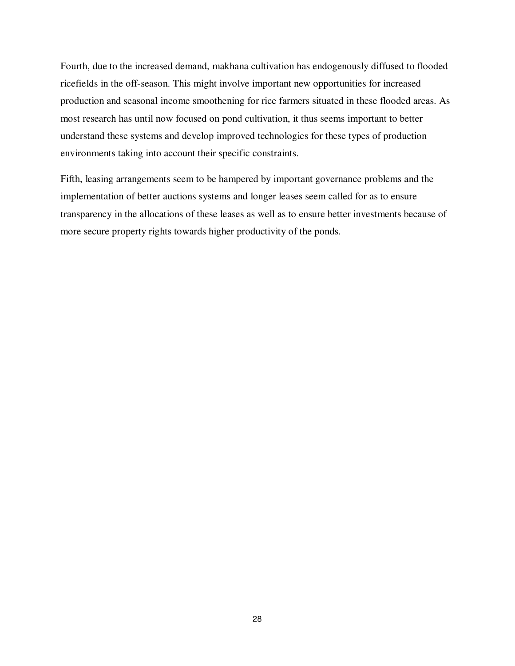Fourth, due to the increased demand, makhana cultivation has endogenously diffused to flooded ricefields in the off-season. This might involve important new opportunities for increased production and seasonal income smoothening for rice farmers situated in these flooded areas. As most research has until now focused on pond cultivation, it thus seems important to better understand these systems and develop improved technologies for these types of production environments taking into account their specific constraints.

Fifth, leasing arrangements seem to be hampered by important governance problems and the implementation of better auctions systems and longer leases seem called for as to ensure transparency in the allocations of these leases as well as to ensure better investments because of more secure property rights towards higher productivity of the ponds.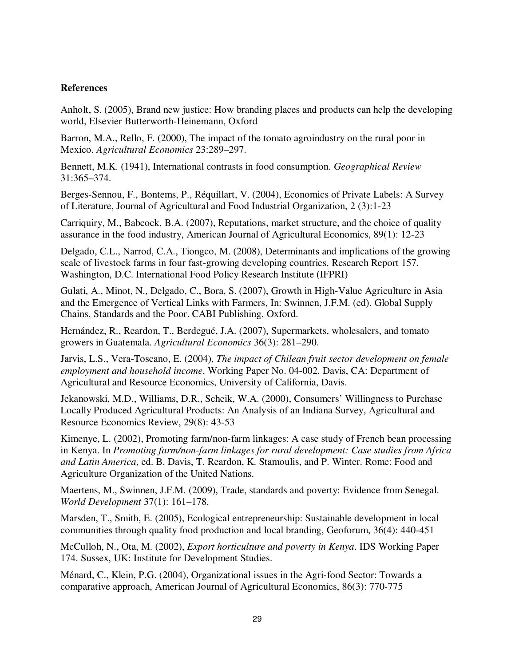# **References**

Anholt, S. (2005), Brand new justice: How branding places and products can help the developing world, Elsevier Butterworth-Heinemann, Oxford

Barron, M.A., Rello, F. (2000), The impact of the tomato agroindustry on the rural poor in Mexico. *Agricultural Economics* 23:289–297.

Bennett, M.K. (1941), International contrasts in food consumption. *Geographical Review* 31:365–374.

Berges-Sennou, F., Bontems, P., Réquillart, V. (2004), Economics of Private Labels: A Survey of Literature, Journal of Agricultural and Food Industrial Organization, 2 (3):1-23

Carriquiry, M., Babcock, B.A. (2007), Reputations, market structure, and the choice of quality assurance in the food industry, American Journal of Agricultural Economics, 89(1): 12-23

Delgado, C.L., Narrod, C.A., Tiongco, M. (2008), Determinants and implications of the growing scale of livestock farms in four fast-growing developing countries, Research Report 157. Washington, D.C. International Food Policy Research Institute (IFPRI)

Gulati, A., Minot, N., Delgado, C., Bora, S. (2007), Growth in High-Value Agriculture in Asia and the Emergence of Vertical Links with Farmers, In: Swinnen, J.F.M. (ed). Global Supply Chains, Standards and the Poor. CABI Publishing, Oxford.

Hernández, R., Reardon, T., Berdegué, J.A. (2007), Supermarkets, wholesalers, and tomato growers in Guatemala. *Agricultural Economics* 36(3): 281–290.

Jarvis, L.S., Vera-Toscano, E. (2004), *The impact of Chilean fruit sector development on female employment and household income*. Working Paper No. 04-002. Davis, CA: Department of Agricultural and Resource Economics, University of California, Davis.

Jekanowski, M.D., Williams, D.R., Scheik, W.A. (2000), Consumers' Willingness to Purchase Locally Produced Agricultural Products: An Analysis of an Indiana Survey, Agricultural and Resource Economics Review, 29(8): 43-53

Kimenye, L. (2002), Promoting farm/non-farm linkages: A case study of French bean processing in Kenya. In *Promoting farm/non-farm linkages for rural development: Case studies from Africa and Latin America*, ed. B. Davis, T. Reardon, K. Stamoulis, and P. Winter. Rome: Food and Agriculture Organization of the United Nations.

Maertens, M., Swinnen, J.F.M. (2009), Trade, standards and poverty: Evidence from Senegal. *World Development* 37(1): 161–178.

Marsden, T., Smith, E. (2005), Ecological entrepreneurship: Sustainable development in local communities through quality food production and local branding, Geoforum, 36(4): 440-451

McCulloh, N., Ota, M. (2002), *Export horticulture and poverty in Kenya*. IDS Working Paper 174. Sussex, UK: Institute for Development Studies.

Ménard, C., Klein, P.G. (2004), Organizational issues in the Agri-food Sector: Towards a comparative approach, American Journal of Agricultural Economics, 86(3): 770-775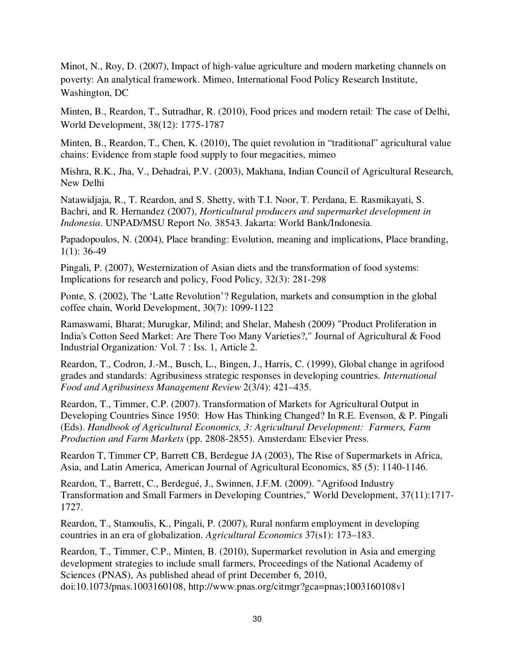Minot, N., Roy, D. (2007), Impact of high-value agriculture and modern marketing channels on poverty: An analytical framework. Mimeo, International Food Policy Research Institute, Washington, DC

Minten, B., Reardon, T., Sutradhar, R. (2010), Food prices and modern retail: The case of Delhi, World Development, 38(12): 1775-1787

Minten, B., Reardon, T., Chen, K. (2010), The quiet revolution in "traditional" agricultural value chains: Evidence from staple food supply to four megacities, mimeo

Mishra, R.K., Jha, V., Dehadrai, P.V. (2003), Makhana, Indian Council of Agricultural Research, New Delhi

Natawidjaja, R., T. Reardon, and S. Shetty, with T.I. Noor, T. Perdana, E. Rasmikayati, S. Bachri, and R. Hernandez (2007), *Horticultural producers and supermarket development in Indonesia*. UNPAD/MSU Report No. 38543. Jakarta: World Bank/Indonesia.

Papadopoulos, N. (2004), Place branding: Evolution, meaning and implications, Place branding,  $1(1): 36-49$ 

Pingali, P. (2007), Westernization of Asian diets and the transformation of food systems: Implications for research and policy, Food Policy, 32(3): 281-298

Ponte, S. (2002), The 'Latte Revolution'? Regulation, markets and consumption in the global coffee chain, World Development, 30(7): 1099-1122

Ramaswami, Bharat; Murugkar, Milind; and Shelar, Mahesh (2009) "Product Proliferation in India's Cotton Seed Market: Are There Too Many Varieties?," Journal of Agricultural & Food Industrial Organization*:* Vol. 7 : Iss. 1, Article 2.

Reardon, T., Codron, J.-M., Busch, L., Bingen, J., Harris, C. (1999), Global change in agrifood grades and standards: Agribusiness strategic responses in developing countries. *International Food and Agribusiness Management Review* 2(3/4): 421–435.

Reardon, T., Timmer, C.P. (2007). Transformation of Markets for Agricultural Output in Developing Countries Since 1950: How Has Thinking Changed? In R.E. Evenson, & P. Pingali (Eds). *Handbook of Agricultural Economics, 3: Agricultural Development: Farmers, Farm Production and Farm Markets* (pp. 2808-2855). Amsterdam: Elsevier Press.

Reardon T, Timmer CP, Barrett CB, Berdegue JA (2003), The Rise of Supermarkets in Africa, Asia, and Latin America, American Journal of Agricultural Economics, 85 (5): 1140-1146.

Reardon, T., Barrett, C., Berdegué, J., Swinnen, J.F.M. (2009). "Agrifood Industry Transformation and Small Farmers in Developing Countries," World Development, 37(11):1717- 1727.

Reardon, T., Stamoulis, K., Pingali, P. (2007), Rural nonfarm employment in developing countries in an era of globalization. *Agricultural Economics* 37(s1): 173–183.

Reardon, T., Timmer, C.P., Minten, B. (2010), Supermarket revolution in Asia and emerging development strategies to include small farmers, Proceedings of the National Academy of Sciences (PNAS), As published ahead of print December 6, 2010, doi:10.1073/pnas.1003160108, http://www.pnas.org/citmgr?gca=pnas;1003160108v1